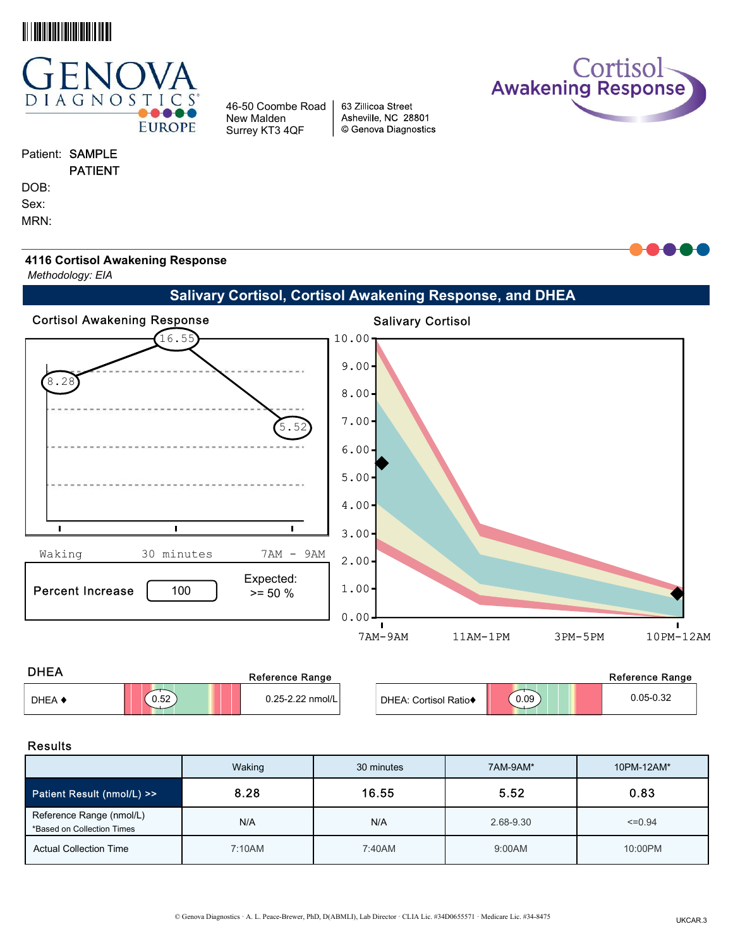



# Patient: SAMPLE

PATIENT

DOB:

Sex:

MRN:

Cortisol<br>Awakening Response



Methodology: EIA

# Salivary Cortisol, Cortisol Awakening Response, and DHEA

63 Zillicoa Street Asheville, NC 28801

© Genova Diagnostics

46-50 Coombe Road New Malden Surrey KT3 4QF



| <b>DHEA</b> |      | Reference Range  |                       |      | Reference Range |
|-------------|------|------------------|-----------------------|------|-----------------|
| DHEA 4      | 0.52 | 0.25-2.22 nmol/L | DHEA: Cortisol Ratio◆ | 0.09 | $0.05 - 0.32$   |

### Results

|                                                        | Waking | 30 minutes | 7AM-9AM*  | 10PM-12AM*  |
|--------------------------------------------------------|--------|------------|-----------|-------------|
| <b>Patient Result (nmol/L) &gt;&gt;</b>                | 8.28   | 16.55      | 5.52      | 0.83        |
| Reference Range (nmol/L)<br>*Based on Collection Times | N/A    | N/A        | 2.68-9.30 | $\leq 0.94$ |
| <b>Actual Collection Time</b>                          | 7:10AM | 7:40AM     | 9:00AM    | 10:00PM     |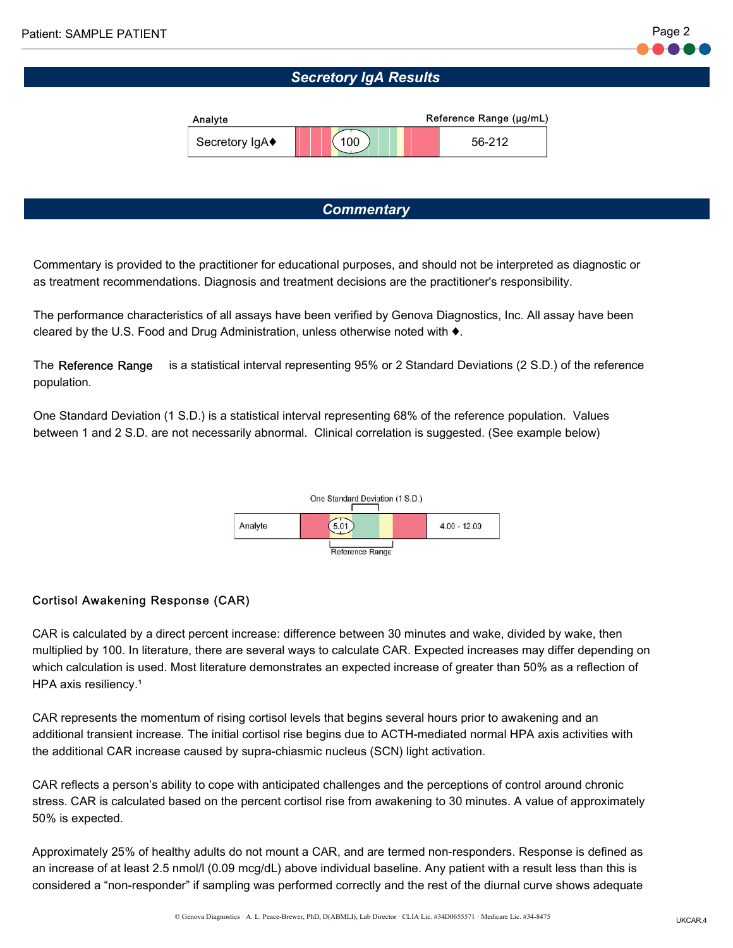# Secretory IgA Results



## **Commentary**

Commentary is provided to the practitioner for educational purposes, and should not be interpreted as diagnostic or as treatment recommendations. Diagnosis and treatment decisions are the practitioner's responsibility.

The performance characteristics of all assays have been verified by Genova Diagnostics, Inc. All assay have been cleared by the U.S. Food and Drug Administration, unless otherwise noted with ♦.

The Reference Range is a statistical interval representing 95% or 2 Standard Deviations (2 S.D.) of the reference population.

One Standard Deviation (1 S.D.) is a statistical interval representing 68% of the reference population. Values between 1 and 2 S.D. are not necessarily abnormal. Clinical correlation is suggested. (See example below)



## Cortisol Awakening Response (CAR)

CAR is calculated by a direct percent increase: difference between 30 minutes and wake, divided by wake, then multiplied by 100. In literature, there are several ways to calculate CAR. Expected increases may differ depending on which calculation is used. Most literature demonstrates an expected increase of greater than 50% as a reflection of HPA axis resiliency.<sup>1</sup>

CAR represents the momentum of rising cortisol levels that begins several hours prior to awakening and an additional transient increase. The initial cortisol rise begins due to ACTH-mediated normal HPA axis activities with the additional CAR increase caused by supra-chiasmic nucleus (SCN) light activation.

CAR reflects a person's ability to cope with anticipated challenges and the perceptions of control around chronic stress. CAR is calculated based on the percent cortisol rise from awakening to 30 minutes. A value of approximately 50% is expected.

Approximately 25% of healthy adults do not mount a CAR, and are termed non-responders. Response is defined as an increase of at least 2.5 nmol/l (0.09 mcg/dL) above individual baseline. Any patient with a result less than this is considered a "non-responder" if sampling was performed correctly and the rest of the diurnal curve shows adequate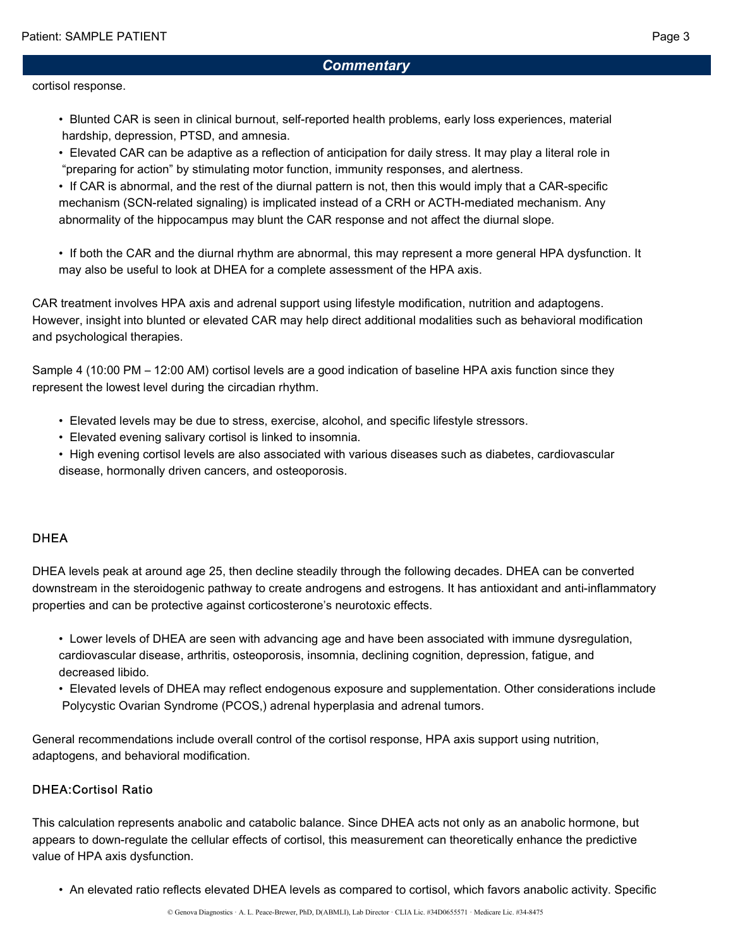## **Commentary**

#### cortisol response.

- • Blunted CAR is seen in clinical burnout, self-reported health problems, early loss experiences, material hardship, depression, PTSD, and amnesia.
- • Elevated CAR can be adaptive as a reflection of anticipation for daily stress. It may play a literal role in "preparing for action" by stimulating motor function, immunity responses, and alertness.
- • If CAR is abnormal, and the rest of the diurnal pattern is not, then this would imply that a CAR-specific mechanism (SCN-related signaling) is implicated instead of a CRH or ACTH-mediated mechanism. Any abnormality of the hippocampus may blunt the CAR response and not affect the diurnal slope.
- • If both the CAR and the diurnal rhythm are abnormal, this may represent a more general HPA dysfunction. It may also be useful to look at DHEA for a complete assessment of the HPA axis.

CAR treatment involves HPA axis and adrenal support using lifestyle modification, nutrition and adaptogens. However, insight into blunted or elevated CAR may help direct additional modalities such as behavioral modification and psychological therapies.

Sample 4 (10:00 PM – 12:00 AM) cortisol levels are a good indication of baseline HPA axis function since they represent the lowest level during the circadian rhythm.

- Elevated levels may be due to stress, exercise, alcohol, and specific lifestyle stressors.
- Elevated evening salivary cortisol is linked to insomnia.
- • High evening cortisol levels are also associated with various diseases such as diabetes, cardiovascular disease, hormonally driven cancers, and osteoporosis.

### **DHEA**

DHEA levels peak at around age 25, then decline steadily through the following decades. DHEA can be converted downstream in the steroidogenic pathway to create androgens and estrogens. It has antioxidant and anti-inflammatory properties and can be protective against corticosterone's neurotoxic effects.

- • Lower levels of DHEA are seen with advancing age and have been associated with immune dysregulation, cardiovascular disease, arthritis, osteoporosis, insomnia, declining cognition, depression, fatigue, and decreased libido.
- • Elevated levels of DHEA may reflect endogenous exposure and supplementation. Other considerations include Polycystic Ovarian Syndrome (PCOS,) adrenal hyperplasia and adrenal tumors.

General recommendations include overall control of the cortisol response, HPA axis support using nutrition, adaptogens, and behavioral modification.

## DHEA:Cortisol Ratio

This calculation represents anabolic and catabolic balance. Since DHEA acts not only as an anabolic hormone, but appears to down-regulate the cellular effects of cortisol, this measurement can theoretically enhance the predictive value of HPA axis dysfunction.

• An elevated ratio reflects elevated DHEA levels as compared to cortisol, which favors anabolic activity. Specific